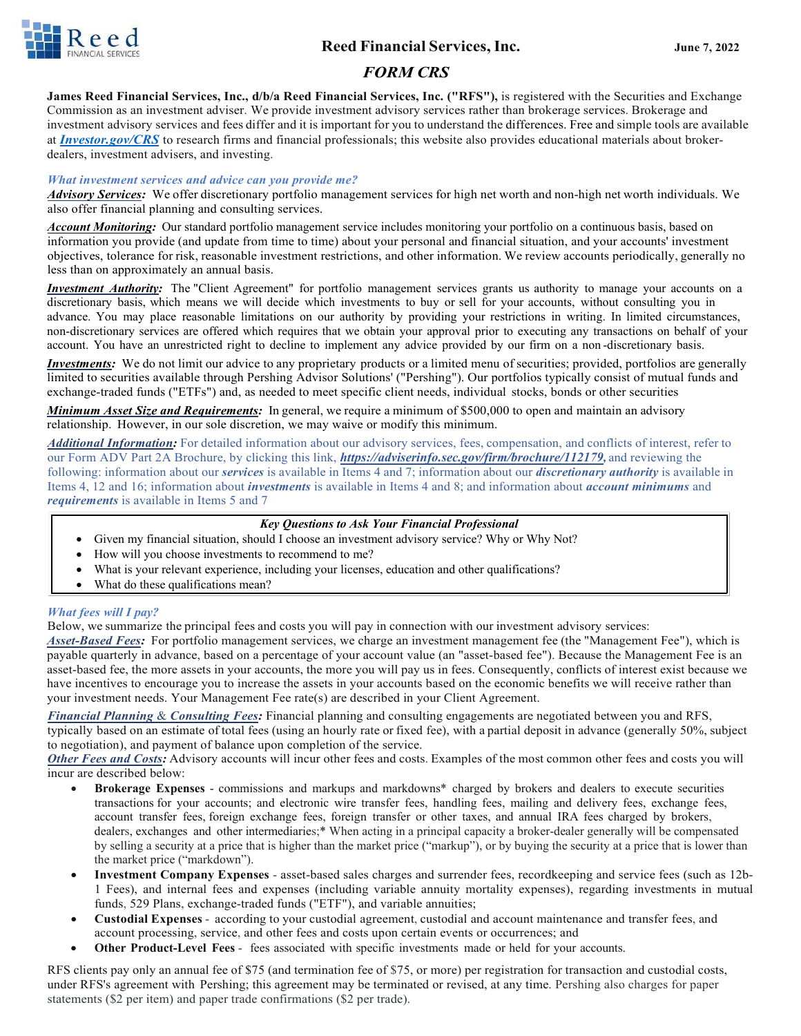

## **Reed Financial Services, Inc. June 7, 2022**

# *FORM CRS*

**James Reed Financial Services, Inc., d/b/a Reed Financial Services, Inc. ("RFS"),** is registered with the Securities and Exchange Commission as an investment adviser. We provide investment advisory services rather than brokerage services. Brokerage and investment advisory services and fees differ and it is important for you to understand the differences. Free and simple tools are available at *[Investor.gov/CRS](https://www.investor.gov/CRS)* to research firms and financial professionals; this website also provides educational materials about brokerdealers, investment advisers, and investing.

#### *What investment services and advice can you provide me?*

*Advisory Services:* We offer discretionary portfolio management services for high net worth and non-high net worth individuals. We also offer financial planning and consulting services.

*Account Monitoring:* Our standard portfolio management service includes monitoring your portfolio on a continuous basis, based on information you provide (and update from time to time) about your personal and financial situation, and your accounts' investment objectives, tolerance for risk, reasonable investment restrictions, and other information. We review accounts periodically, generally no less than on approximately an annual basis.

*Investment Authority:* The "Client Agreement" for portfolio management services grants us authority to manage your accounts on a discretionary basis, which means we will decide which investments to buy or sell for your accounts, without consulting you in advance. You may place reasonable limitations on our authority by providing your restrictions in writing. In limited circumstances, non-discretionary services are offered which requires that we obtain your approval prior to executing any transactions on behalf of your account. You have an unrestricted right to decline to implement any advice provided by our firm on a non -discretionary basis.

*Investments:* We do not limit our advice to any proprietary products or a limited menu of securities; provided, portfolios are generally limited to securities available through Pershing Advisor Solutions' ("Pershing"). Our portfolios typically consist of mutual funds and exchange-traded funds ("ETFs") and, as needed to meet specific client needs, individual stocks, bonds or other securities

*Minimum Asset Size and Requirements:* In general, we require a minimum of \$500,000 to open and maintain an advisory relationship. However, in our sole discretion, we may waive or modify this minimum.

*Additional Information:* For detailed information about our advisory services, fees, compensation, and conflicts of interest, refer to our Form ADV Part 2A Brochure, by clicking this link, *[https://adviserinfo.sec.gov/firm/brochure/112179,](https://adviserinfo.sec.gov/firm/brochure/112179)* and reviewing the following: information about our *services* is available in Items 4 and 7; information about our *discretionary authority* is available in Items 4, 12 and 16; information about *investments* is available in Items 4 and 8; and information about *account minimums* and *requirements* is available in Items 5 and 7

#### *Key Questions to Ask Your Financial Professional*

- Given my financial situation, should I choose an investment advisory service? Why or Why Not?
- How will you choose investments to recommend to me?
- What is your relevant experience, including your licenses, education and other qualifications?
- What do these qualifications mean?

#### *What fees will I pay?*

Below, we summarize the principal fees and costs you will pay in connection with our investment advisory services:

*Asset-Based Fees:* For portfolio management services, we charge an investment management fee (the "Management Fee"), which is payable quarterly in advance, based on a percentage of your account value (an "asset-based fee"). Because the Management Fee is an asset-based fee, the more assets in your accounts, the more you will pay us in fees. Consequently, conflicts of interest exist because we have incentives to encourage you to increase the assets in your accounts based on the economic benefits we will receive rather than your investment needs. Your Management Fee rate(s) are described in your Client Agreement.

*Financial Planning* & *Consulting Fees:* Financial planning and consulting engagements are negotiated between you and RFS, typically based on an estimate of total fees (using an hourly rate or fixed fee), with a partial deposit in advance (generally 50%, subject to negotiation), and payment of balance upon completion of the service.

*Other Fees and Costs:* Advisory accounts will incur other fees and costs. Examples of the most common other fees and costs you will incur are described below:

- **Brokerage Expenses** commissions and markups and markdowns\* charged by brokers and dealers to execute securities transactions for your accounts; and electronic wire transfer fees, handling fees, mailing and delivery fees, exchange fees, account transfer fees, foreign exchange fees, foreign transfer or other taxes, and annual IRA fees charged by brokers, dealers, exchanges and other intermediaries;\* When acting in a principal capacity a broker-dealer generally will be compensated by selling a security at a price that is higher than the market price ("markup"), or by buying the security at a price that is lower than the market price ("markdown").
- **Investment Company Expenses**  asset-based sales charges and surrender fees, recordkeeping and service fees (such as 12b-1 Fees), and internal fees and expenses (including variable annuity mortality expenses), regarding investments in mutual funds, 529 Plans, exchange-traded funds ("ETF"), and variable annuities;
- **Custodial Expenses** according to your custodial agreement, custodial and account maintenance and transfer fees, and account processing, service, and other fees and costs upon certain events or occurrences; and
- **Other Product-Level Fees** fees associated with specific investments made or held for your accounts.

RFS clients pay only an annual fee of \$75 (and termination fee of \$75, or more) per registration for transaction and custodial costs, under RFS's agreement with Pershing; this agreement may be terminated or revised, at any time. Pershing also charges for paper statements (\$2 per item) and paper trade confirmations (\$2 per trade).